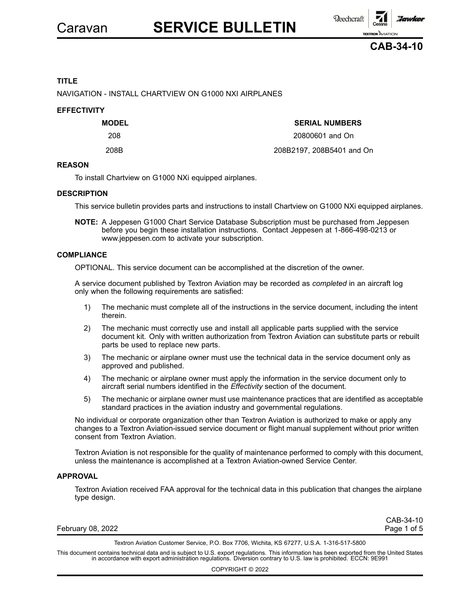

# **TITLE**

NAVIGATION - INSTALL CHARTVIEW ON G1000 NXI AIRPLANES

### **EFFECTIVITY**

# **MODEL SERIAL NUMBERS**

208 20800601 and On 208B 208B2197, 208B5401 and On

#### **REASON**

To install Chartview on G1000 NXi equipped airplanes.

#### **DESCRIPTION**

This service bulletin provides parts and instructions to install Chartview on G1000 NXi equipped airplanes.

**NOTE:** A Jeppesen G1000 Chart Service Database Subscription must be purchased from Jeppesen before you begin these installation instructions. Contact Jeppesen at 1-866-498-0213 or www.jeppesen.com to activate your subscription.

#### **COMPLIANCE**

OPTIONAL. This service document can be accomplished at the discretion of the owner.

A service document published by Textron Aviation may be recorded as *completed* in an aircraft log only when the following requirements are satisfied:

- 1) The mechanic must complete all of the instructions in the service document, including the intent therein.
- 2) The mechanic must correctly use and install all applicable parts supplied with the service document kit. Only with written authorization from Textron Aviation can substitute parts or rebuilt parts be used to replace new parts.
- 3) The mechanic or airplane owner must use the technical data in the service document only as approved and published.
- 4) The mechanic or airplane owner must apply the information in the service document only to aircraft serial numbers identified in the *Effectivity* section of the document.
- 5) The mechanic or airplane owner must use maintenance practices that are identified as acceptable standard practices in the aviation industry and governmental regulations.

No individual or corporate organization other than Textron Aviation is authorized to make or apply any changes to <sup>a</sup> Textron Aviation-issued service document or flight manual supplement without prior written consent from Textron Aviation.

Textron Aviation is not responsible for the quality of maintenance performed to comply with this document, unless the maintenance is accomplished at <sup>a</sup> Textron Aviation-owned Service Center.

#### **APPROVAL**

Textron Aviation received FAA approval for the technical data in this publication that changes the airplane type design.

February 08, 2022 **Page 1 of 5** 

CAB-34-10

Textron Aviation Customer Service, P.O. Box 7706, Wichita, KS 67277, U.S.A. 1-316-517-5800

This document contains technical data and is subject to U.S. export regulations. This information has been exported from the United States<br>in accordance with export administration regulations. Diversion contrary to U.S. la

COPYRIGHT © 2022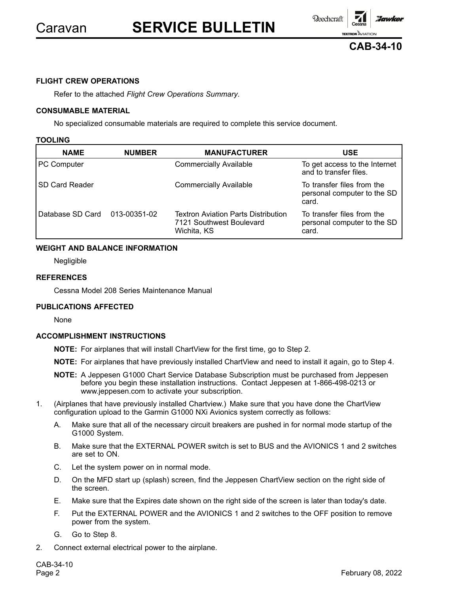# Caravan **SERVICE BULLETIN**

**Reechcraft** 

**TEXTRON** AVIATION

**Hawker** 



# **FLIGHT CREW OPERATIONS**

Refer to the attached *Flight Crew Operations Summary*.

## **CONSUMABLE MATERIAL**

No specialized consumable materials are required to complete this service document.

### **TOOLING**

| <b>NAME</b>                   | <b>NUMBER</b> | <b>MANUFACTURER</b>                                                            | <b>USE</b>                                                         |
|-------------------------------|---------------|--------------------------------------------------------------------------------|--------------------------------------------------------------------|
| <b>PC Computer</b>            |               | <b>Commercially Available</b>                                                  | To get access to the Internet<br>and to transfer files.            |
| <b>SD Card Reader</b>         |               | <b>Commercially Available</b>                                                  | To transfer files from the<br>personal computer to the SD<br>card. |
| Database SD Card 013-00351-02 |               | Textron Aviation Parts Distribution<br>7121 Southwest Boulevard<br>Wichita, KS | To transfer files from the<br>personal computer to the SD<br>card. |

# **WEIGHT AND BALANCE INFORMATION**

Negligible

# **REFERENCES**

Cessna Model 208 Series Maintenance Manual

# **PUBLICATIONS AFFECTED**

None

# **ACCOMPLISHMENT INSTRUCTIONS**

- **NOTE:** For airplanes that will install ChartView for the first time, go to Step 2.
- **NOTE:** For airplanes that have previously installed ChartView and need to install it again, go to Step 4.
- **NOTE:** A Jeppesen G1000 Chart Service Database Subscription must be purchased from Jeppesen before you begin these installation instructions. Contact Jeppesen at 1-866-498-0213 or www.jeppesen.com to activate your subscription.
- 1. (Airplanes that have previously installed Chartview.) Make sure that you have done the ChartView configuration upload to the Garmin G1000 NXi Avionics system correctly as follows:
	- A. Make sure that all of the necessary circuit breakers are pushed in for normal mode startup of the G1000 System.
	- B. Make sure that the EXTERNAL POWER switch is set to BUS and the AVIONICS 1 and 2 switches are set to ON.
	- C. Let the system power on in normal mode.
	- D. On the MFD start up (splash) screen, find the Jeppesen ChartView section on the right side of the screen.
	- E. Make sure that the Expires date shown on the right side of the screen is later than today's date.
	- F. Put the EXTERNAL POWER and the AVIONICS 1 and 2 switches to the OFF position to remove power from the system.
	- G. Go to Step 8.
- 2. Connect external electrical power to the airplane.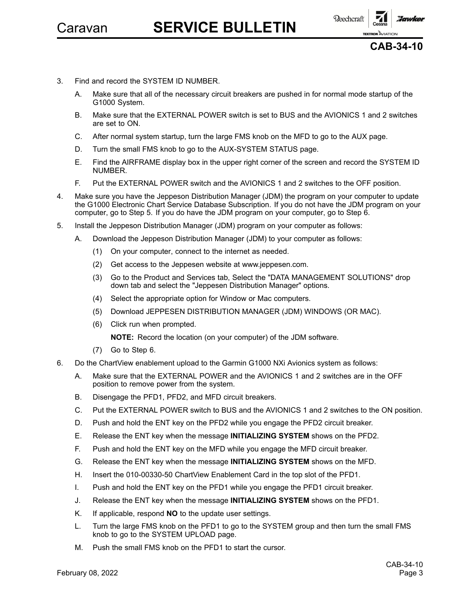

- 3. Find and record the SYSTEM ID NUMBER.
	- A. Make sure that all of the necessary circuit breakers are pushed in for normal mode startup of the G1000 System.
	- B. Make sure that the EXTERNAL POWER switch is set to BUS and the AVIONICS 1 and 2 switches are set to ON.
	- C. After normal system startup, turn the large FMS knob on the MFD to go to the AUX page.
	- D. Turn the small FMS knob to go to the AUX-SYSTEM STATUS page.
	- E. Find the AIRFRAME display box in the upper right corner of the screen and record the SYSTEM ID NUMBER.
	- F. Put the EXTERNAL POWER switch and the AVIONICS 1 and 2 switches to the OFF position.
- 4. Make sure you have the Jeppeson Distribution Manager (JDM) the program on your computer to update the G1000 Electronic Chart Service Database Subscription. If you do not have the JDM program on your computer, go to Step 5. If you do have the JDM program on your computer, go to Step 6.
- 5. Install the Jeppeson Distribution Manager (JDM) program on your computer as follows:
	- A. Download the Jeppeson Distribution Manager (JDM) to your computer as follows:
		- (1) On your computer, connect to the internet as needed.
		- (2) Get access to the Jeppesen website at www.jeppesen.com.
		- (3) Go to the Product and Services tab, Select the "DATA MANAGEMENT SOLUTIONS" drop down tab and select the "Jeppesen Distribution Manager" options.
		- (4) Select the appropriate option for Window or Mac computers.
		- (5) Download JEPPESEN DISTRIBUTION MANAGER (JDM) WINDOWS (OR MAC).
		- (6) Click run when prompted.

**NOTE:** Record the location (on your computer) of the JDM software.

- (7) Go to Step 6.
- 6. Do the ChartView enablement upload to the Garmin G1000 NXi Avionics system as follows:
	- A. Make sure that the EXTERNAL POWER and the AVIONICS 1 and 2 switches are in the OFF position to remove power from the system.
	- B. Disengage the PFD1, PFD2, and MFD circuit breakers.
	- C. Put the EXTERNAL POWER switch to BUS and the AVIONICS 1 and 2 switches to the ON position.
	- D. Push and hold the ENT key on the PFD2 while you engage the PFD2 circuit breaker.
	- E. Release the ENT key when the message **INITIALIZING SYSTEM** shows on the PFD2.
	- F. Push and hold the ENT key on the MFD while you engage the MFD circuit breaker.
	- G. Release the ENT key when the message **INITIALIZING SYSTEM** shows on the MFD.
	- H. Insert the 010-00330-50 ChartView Enablement Card in the top slot of the PFD1.
	- I. Push and hold the ENT key on the PFD1 while you engage the PFD1 circuit breaker.
	- J. Release the ENT key when the message **INITIALIZING SYSTEM** shows on the PFD1.
	- K. If applicable, respond **NO** to the update user settings.
	- L. Turn the large FMS knob on the PFD1 to go to the SYSTEM group and then turn the small FMS knob to go to the SYSTEM UPLOAD page.
	- M. Push the small FMS knob on the PFD1 to start the cursor.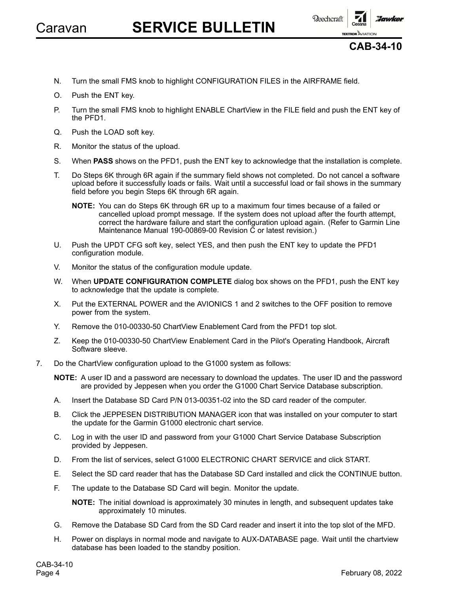

# Caravan **SERVICE BULLETIN**





**TEXTRON** AVIATION

**Hawker** 

- N. Turn the small FMS knob to highlight CONFIGURATION FILES in the AIRFRAME field.
- O. Push the ENT key.
- P. Turn the small FMS knob to highlight ENABLE ChartView in the FILE field and push the ENT key of the PFD1.
- Q. Push the LOAD soft key.
- R. Monitor the status of the upload.
- S. When **PASS** shows on the PFD1, push the ENT key to acknowledge that the installation is complete.
- T. Do Steps 6K through 6R again if the summary field shows not completed. Do not cancel <sup>a</sup> software upload before it successfully loads or fails. Wait until <sup>a</sup> successful load or fail shows in the summary field before you begin Steps 6K through 6R again.
	- **NOTE:** You can do Steps 6K through 6R up to <sup>a</sup> maximum four times because of <sup>a</sup> failed or cancelled upload prompt message. If the system does not upload after the fourth attempt, correct the hardware failure and start the configuration upload again. (Refer to Garmin Line Maintenance Manual 190-00869-00 Revision C or latest revision.)
- U. Push the UPDT CFG soft key, select YES, and then push the ENT key to update the PFD1 configuration module.
- V. Monitor the status of the configuration module update.
- W. When **UPDATE CONFIGURATION COMPLETE** dialog box shows on the PFD1, push the ENT key to acknowledge that the update is complete.
- X. Put the EXTERNAL POWER and the AVIONICS 1 and 2 switches to the OFF position to remove power from the system.
- Y. Remove the 010-00330-50 ChartView Enablement Card from the PFD1 top slot.
- Z. Keep the 010-00330-50 ChartView Enablement Card in the Pilot's Operating Handbook, Aircraft Software sleeve.
- 7. Do the ChartView configuration upload to the G1000 system as follows:

**NOTE:** A user ID and <sup>a</sup> password are necessary to download the updates. The user ID and the password are provided by Jeppesen when you order the G1000 Chart Service Database subscription.

- A. Insert the Database SD Card P/N 013-00351-02 into the SD card reader of the computer.
- B. Click the JEPPESEN DISTRIBUTION MANAGER icon that was installed on your computer to start the update for the Garmin G1000 electronic chart service.
- C. Log in with the user ID and password from your G1000 Chart Service Database Subscription provided by Jeppesen.
- D. From the list of services, select G1000 ELECTRONIC CHART SERVICE and click START.
- E. Select the SD card reader that has the Database SD Card installed and click the CONTINUE button.
- F. The update to the Database SD Card will begin. Monitor the update.

**NOTE:** The initial download is approximately 30 minutes in length, and subsequent updates take approximately 10 minutes.

- G. Remove the Database SD Card from the SD Card reader and insert it into the top slot of the MFD.
- H. Power on displays in normal mode and navigate to AUX-DATABASE page. Wait until the chartview database has been loaded to the standby position.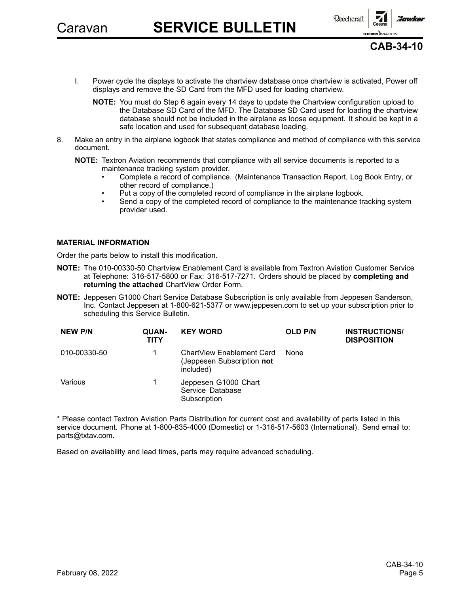Caravan **SERVICE BULLETIN**



**CAB-34-10**

- I. Power cycle the displays to activate the chartview database once chartview is activated, Power off displays and remove the SD Card from the MFD used for loading chartview.
	- **NOTE:** You must do Step 6 again every 14 days to update the Chartview configuration upload to the Database SD Card of the MFD. The Database SD Card used for loading the chartview database should not be included in the airplane as loose equipment. It should be kept in <sup>a</sup> safe location and used for subsequent database loading.
- 8. Make an entry in the airplane logbook that states compliance and method of compliance with this service document.

**NOTE:** Textron Aviation recommends that compliance with all service documents is reported to <sup>a</sup> maintenance tracking system provider.

- • Complete <sup>a</sup> record of compliance. (Maintenance Transaction Report, Log Book Entry, or other record of compliance.)
- Put <sup>a</sup> copy of the completed record of compliance in the airplane logbook.
- • Send <sup>a</sup> copy of the completed record of compliance to the maintenance tracking system provider used.

#### **MATERIAL INFORMATION**

•

Order the parts below to install this modification.

- **NOTE:** The 010-00330-50 Chartview Enablement Card is available from Textron Aviation Customer Service at Telephone: 316-517-5800 or Fax: 316-517-7271. Orders should be placed by **completing and returning the attached** ChartView Order Form.
- **NOTE:** Jeppesen G1000 Chart Service Database Subscription is only available from Jeppesen Sanderson, Inc. Contact Jeppesen at 1-800-621-5377 or www.jeppesen.com to set up your subscription prior to scheduling this Service Bulletin.

| <b>NEW P/N</b> | QUAN-<br>TITY | <b>KEY WORD</b>                                                      | <b>OLD P/N</b> | <b>INSTRUCTIONS/</b><br><b>DISPOSITION</b> |
|----------------|---------------|----------------------------------------------------------------------|----------------|--------------------------------------------|
| 010-00330-50   |               | ChartView Enablement Card<br>(Jeppesen Subscription not<br>included) | None           |                                            |
| Various        |               | Jeppesen G1000 Chart<br>Service Database<br>Subscription             |                |                                            |

\* Please contact Textron Aviation Parts Distribution for current cost and availability of parts listed in this service document. Phone at 1-800-835-4000 (Domestic) or 1-316-517-5603 (International). Send email to: parts@txtav.com.

Based on availability and lead times, parts may require advanced scheduling.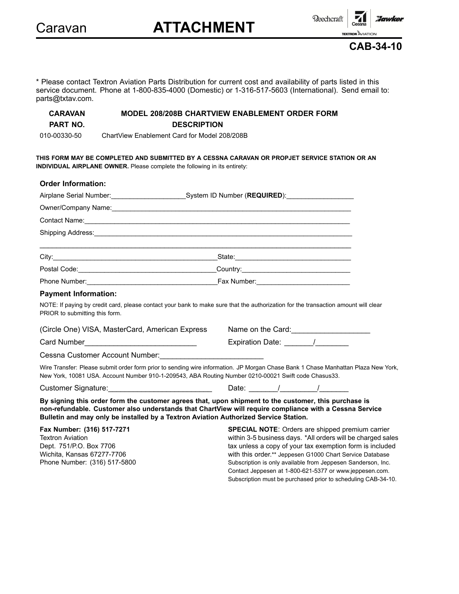Caravan **ATTACHMENT**



Subscription must be purchased prior to scheduling CAB-34-10.

**TEXTRON** AVIATION **CAB-34-10**

:Jawker

\* Please contact Textron Aviation Parts Distribution for current cost and availability of parts listed in this service document. Phone at 1-800-835-4000 (Domestic) or 1-316-517-5603 (International). Send email to: parts@txtav.com.

# **CARAVAN MODEL 208/208B CHARTVIEW ENABLEMENT ORDER FORM PART NO. DESCRIPTION**

010-00330-50 ChartView Enablement Card for Model 208/208B

**THIS FORM MAY BE COMPLETED AND SUBMITTED BY A CESSNA CARAVAN OR PROPJET SERVICE STATION OR AN INDIVIDUAL AIRPLANE OWNER.** Please complete the following in its entirety:

| <b>Order Information:</b>                                                                                                                                                                                                                                                                              |                                                                                                                                                                                                                                                                                                                                                                    |
|--------------------------------------------------------------------------------------------------------------------------------------------------------------------------------------------------------------------------------------------------------------------------------------------------------|--------------------------------------------------------------------------------------------------------------------------------------------------------------------------------------------------------------------------------------------------------------------------------------------------------------------------------------------------------------------|
| Airplane Serial Number: _________________________System ID Number (REQUIRED): _____________________                                                                                                                                                                                                    |                                                                                                                                                                                                                                                                                                                                                                    |
|                                                                                                                                                                                                                                                                                                        |                                                                                                                                                                                                                                                                                                                                                                    |
|                                                                                                                                                                                                                                                                                                        |                                                                                                                                                                                                                                                                                                                                                                    |
|                                                                                                                                                                                                                                                                                                        |                                                                                                                                                                                                                                                                                                                                                                    |
|                                                                                                                                                                                                                                                                                                        |                                                                                                                                                                                                                                                                                                                                                                    |
|                                                                                                                                                                                                                                                                                                        |                                                                                                                                                                                                                                                                                                                                                                    |
|                                                                                                                                                                                                                                                                                                        |                                                                                                                                                                                                                                                                                                                                                                    |
| <b>Payment Information:</b>                                                                                                                                                                                                                                                                            |                                                                                                                                                                                                                                                                                                                                                                    |
| NOTE: If paying by credit card, please contact your bank to make sure that the authorization for the transaction amount will clear<br>PRIOR to submitting this form.                                                                                                                                   |                                                                                                                                                                                                                                                                                                                                                                    |
| (Circle One) VISA, MasterCard, American Express                                                                                                                                                                                                                                                        | Name on the Card:<br><u> Letting and the card:</u>                                                                                                                                                                                                                                                                                                                 |
|                                                                                                                                                                                                                                                                                                        |                                                                                                                                                                                                                                                                                                                                                                    |
| Cessna Customer Account Number:<br>Cessna Customer Account Number:                                                                                                                                                                                                                                     |                                                                                                                                                                                                                                                                                                                                                                    |
| New York, 10081 USA. Account Number 910-1-209543, ABA Routing Number 0210-00021 Swift code Chasus33.                                                                                                                                                                                                   | Wire Transfer: Please submit order form prior to sending wire information. JP Morgan Chase Bank 1 Chase Manhattan Plaza New York,                                                                                                                                                                                                                                  |
| Customer Signature:________________________________  Date: _______/_________/________                                                                                                                                                                                                                  |                                                                                                                                                                                                                                                                                                                                                                    |
| By signing this order form the customer agrees that, upon shipment to the customer, this purchase is<br>non-refundable. Customer also understands that ChartView will require compliance with a Cessna Service<br>Bulletin and may only be installed by a Textron Aviation Authorized Service Station. |                                                                                                                                                                                                                                                                                                                                                                    |
| Fax Number: (316) 517-7271<br><b>Textron Aviation</b><br>Dept. 751/P.O. Box 7706<br>Wichita, Kansas 67277-7706<br>Phone Number: (316) 517-5800                                                                                                                                                         | SPECIAL NOTE: Orders are shipped premium carrier<br>within 3-5 business days. *All orders will be charged sales<br>tax unless a copy of your tax exemption form is included<br>with this order.** Jeppesen G1000 Chart Service Database<br>Subscription is only available from Jeppesen Sanderson, Inc.<br>Contact Jeppesen at 1-800-621-5377 or www.jeppesen.com. |